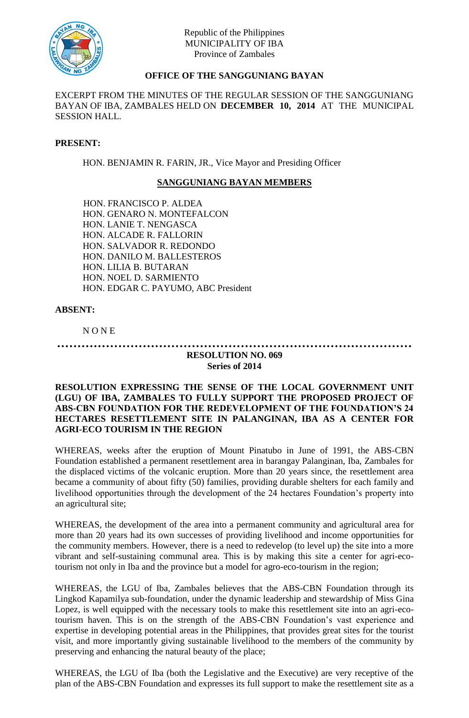

# **OFFICE OF THE SANGGUNIANG BAYAN**

EXCERPT FROM THE MINUTES OF THE REGULAR SESSION OF THE SANGGUNIANG BAYAN OF IBA, ZAMBALES HELD ON **DECEMBER 10, 2014** AT THE MUNICIPAL SESSION HALL.

### **PRESENT:**

HON. BENJAMIN R. FARIN, JR., Vice Mayor and Presiding Officer

## **SANGGUNIANG BAYAN MEMBERS**

HON. FRANCISCO P. ALDEA HON. GENARO N. MONTEFALCON HON. LANIE T. NENGASCA HON. ALCADE R. FALLORIN HON. SALVADOR R. REDONDO HON. DANILO M. BALLESTEROS HON. LILIA B. BUTARAN HON. NOEL D. SARMIENTO HON. EDGAR C. PAYUMO, ABC President

#### **ABSENT:**

N O N E

#### **…………………………………………………………………………… RESOLUTION NO. 069**

# **Series of 2014**

## **RESOLUTION EXPRESSING THE SENSE OF THE LOCAL GOVERNMENT UNIT (LGU) OF IBA, ZAMBALES TO FULLY SUPPORT THE PROPOSED PROJECT OF ABS-CBN FOUNDATION FOR THE REDEVELOPMENT OF THE FOUNDATION'S 24 HECTARES RESETTLEMENT SITE IN PALANGINAN, IBA AS A CENTER FOR AGRI-ECO TOURISM IN THE REGION**

WHEREAS, weeks after the eruption of Mount Pinatubo in June of 1991, the ABS-CBN Foundation established a permanent resettlement area in barangay Palanginan, Iba, Zambales for the displaced victims of the volcanic eruption. More than 20 years since, the resettlement area became a community of about fifty (50) families, providing durable shelters for each family and livelihood opportunities through the development of the 24 hectares Foundation's property into an agricultural site;

WHEREAS, the development of the area into a permanent community and agricultural area for more than 20 years had its own successes of providing livelihood and income opportunities for the community members. However, there is a need to redevelop (to level up) the site into a more vibrant and self-sustaining communal area. This is by making this site a center for agri-ecotourism not only in Iba and the province but a model for agro-eco-tourism in the region;

WHEREAS, the LGU of Iba, Zambales believes that the ABS-CBN Foundation through its Lingkod Kapamilya sub-foundation, under the dynamic leadership and stewardship of Miss Gina Lopez, is well equipped with the necessary tools to make this resettlement site into an agri-ecotourism haven. This is on the strength of the ABS-CBN Foundation's vast experience and expertise in developing potential areas in the Philippines, that provides great sites for the tourist visit, and more importantly giving sustainable livelihood to the members of the community by preserving and enhancing the natural beauty of the place;

WHEREAS, the LGU of Iba (both the Legislative and the Executive) are very receptive of the plan of the ABS-CBN Foundation and expresses its full support to make the resettlement site as a